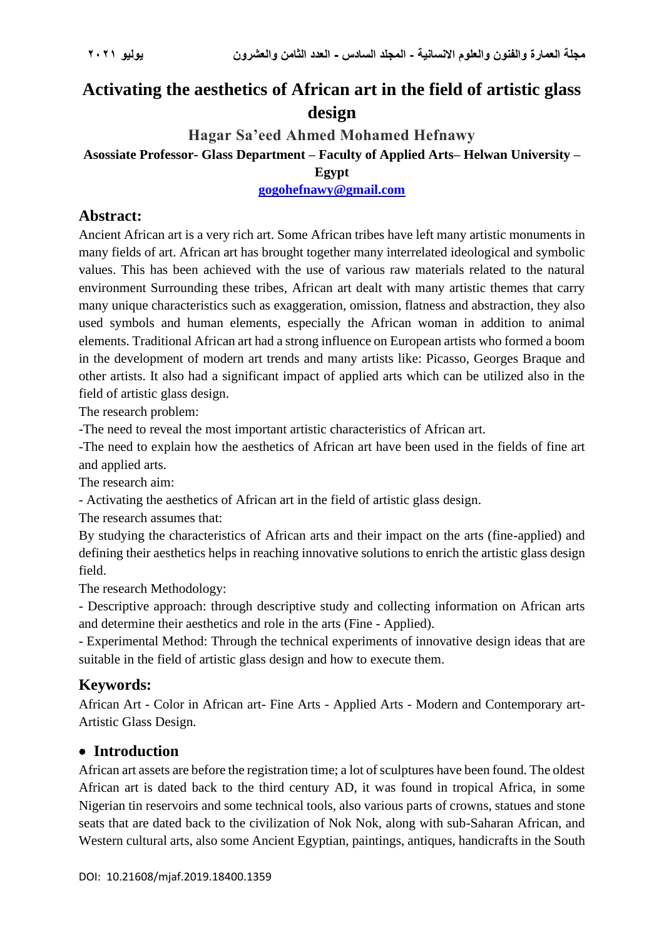# **Activating the aesthetics of African art in the field of artistic glass design**

# **Hagar Sa'eed Ahmed Mohamed Hefnawy Asossiate Professor- Glass Department – Faculty of Applied Arts– Helwan University – Egypt**

**[gogohefnawy@gmail.com](mailto:gogohefnawy@gmail.com)**

## **Abstract:**

Ancient African art is a very rich art. Some African tribes have left many artistic monuments in many fields of art. African art has brought together many interrelated ideological and symbolic values. This has been achieved with the use of various raw materials related to the natural environment Surrounding these tribes, African art dealt with many artistic themes that carry many unique characteristics such as exaggeration, omission, flatness and abstraction, they also used symbols and human elements, especially the African woman in addition to animal elements. Traditional African art had a strong influence on European artists who formed a boom in the development of modern art trends and many artists like: Picasso, Georges Braque and other artists. It also had a significant impact of applied arts which can be utilized also in the field of artistic glass design.

The research problem:

-The need to reveal the most important artistic characteristics of African art.

-The need to explain how the aesthetics of African art have been used in the fields of fine art and applied arts.

The research aim:

- Activating the aesthetics of African art in the field of artistic glass design.

The research assumes that:

By studying the characteristics of African arts and their impact on the arts (fine-applied) and defining their aesthetics helps in reaching innovative solutions to enrich the artistic glass design field.

The research Methodology:

- Descriptive approach: through descriptive study and collecting information on African arts and determine their aesthetics and role in the arts (Fine - Applied).

- Experimental Method: Through the technical experiments of innovative design ideas that are suitable in the field of artistic glass design and how to execute them.

## **Keywords:**

African Art - Color in African art- Fine Arts - Applied Arts - Modern and Contemporary art-Artistic Glass Design.

## • **Introduction**

African art assets are before the registration time; a lot of sculptures have been found. The oldest African art is dated back to the third century AD, it was found in tropical Africa, in some Nigerian tin reservoirs and some technical tools, also various parts of crowns, statues and stone seats that are dated back to the civilization of Nok Nok, along with sub-Saharan African, and Western cultural arts, also some Ancient Egyptian, paintings, antiques, handicrafts in the South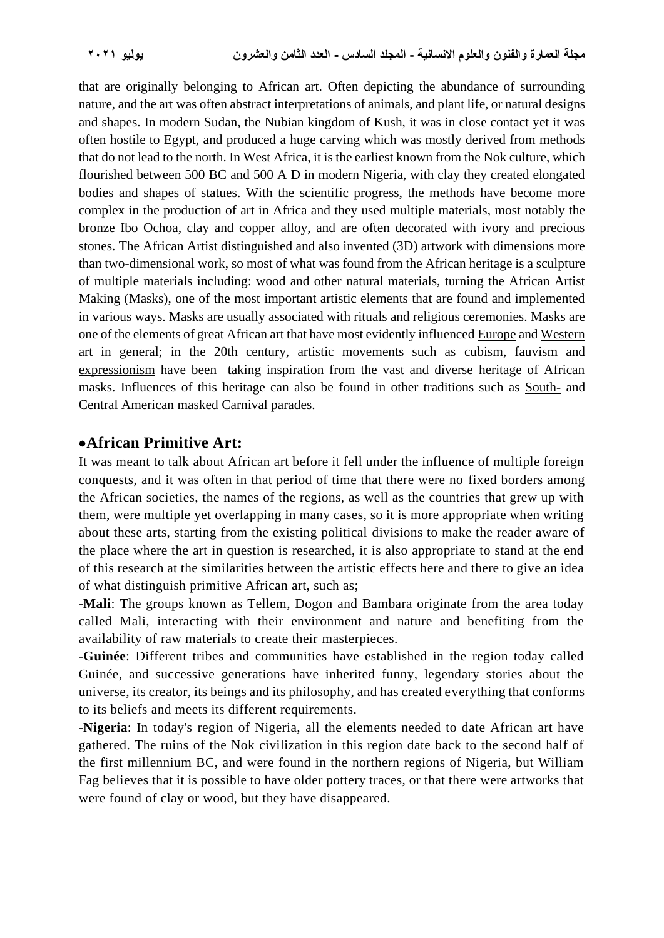that are originally belonging to African art. Often depicting the abundance of surrounding nature, and the art was often abstract interpretations of animals, and plant life, or natural designs and shapes. In modern Sudan, the Nubian kingdom of Kush, it was in close contact yet it was often hostile to Egypt, and produced a huge carving which was mostly derived from methods that do not lead to the north. In West Africa, it is the earliest known from the Nok culture, which flourished between 500 BC and 500 A D in modern Nigeria, with clay they created elongated bodies and shapes of statues. With the scientific progress, the methods have become more complex in the production of art in Africa and they used multiple materials, most notably the bronze Ibo Ochoa, clay and copper alloy, and are often decorated with ivory and precious stones. The African Artist distinguished and also invented (3D) artwork with dimensions more than two-dimensional work, so most of what was found from the African heritage is a sculpture of multiple materials including: wood and other natural materials, turning the African Artist Making (Masks), one of the most important artistic elements that are found and implemented in various ways. Masks are usually associated with rituals and religious ceremonies. Masks are one of the elements of great African art that have most evidently influenced [Europe](https://en.wikipedia.org/wiki/Europe) and [Western](https://en.wikipedia.org/wiki/Western_art)  [art](https://en.wikipedia.org/wiki/Western_art) in general; in the 20th century, artistic movements such as [cubism,](https://en.wikipedia.org/wiki/Cubism) [fauvism](https://en.wikipedia.org/wiki/Fauvism) and [expressionism](https://en.wikipedia.org/wiki/Expressionism) have been taking inspiration from the vast and diverse heritage of African masks. Influences of this heritage can also be found in other traditions such as [South-](https://en.wikipedia.org/wiki/South_America) and [Central American](https://en.wikipedia.org/wiki/Central_America) masked [Carnival](https://en.wikipedia.org/wiki/Carnival) parades.

## •**African Primitive Art:**

It was meant to talk about African art before it fell under the influence of multiple foreign conquests, and it was often in that period of time that there were no fixed borders among the African societies, the names of the regions, as well as the countries that grew up with them, were multiple yet overlapping in many cases, so it is more appropriate when writing about these arts, starting from the existing political divisions to make the reader aware of the place where the art in question is researched, it is also appropriate to stand at the end of this research at the similarities between the artistic effects here and there to give an idea of what distinguish primitive African art, such as;

-**Mali**: The groups known as Tellem, Dogon and Bambara originate from the area today called Mali, interacting with their environment and nature and benefiting from the availability of raw materials to create their masterpieces.

-**Guinée**: Different tribes and communities have established in the region today called Guinée, and successive generations have inherited funny, legendary stories about the universe, its creator, its beings and its philosophy, and has created everything that conforms to its beliefs and meets its different requirements.

-**Nigeria**: In today's region of Nigeria, all the elements needed to date African art have gathered. The ruins of the Nok civilization in this region date back to the second half of the first millennium BC, and were found in the northern regions of Nigeria, but William Fag believes that it is possible to have older pottery traces, or that there were artworks that were found of clay or wood, but they have disappeared.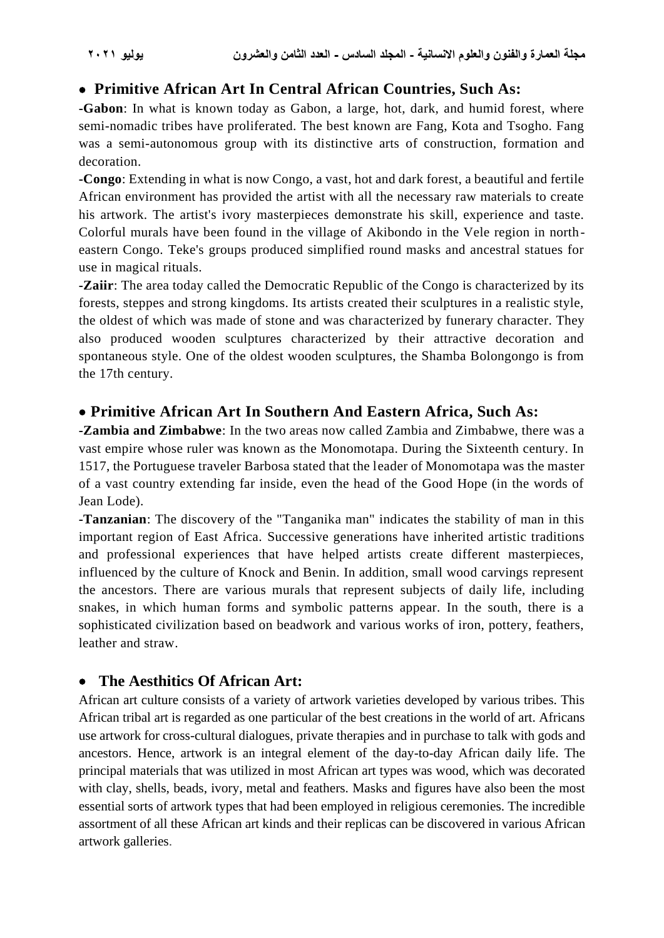## • **Primitive African Art In Central African Countries, Such As:**

**-Gabon**: In what is known today as Gabon, a large, hot, dark, and humid forest, where semi-nomadic tribes have proliferated. The best known are Fang, Kota and Tsogho. Fang was a semi-autonomous group with its distinctive arts of construction, formation and decoration.

**-Congo**: Extending in what is now Congo, a vast, hot and dark forest, a beautiful and fertile African environment has provided the artist with all the necessary raw materials to create his artwork. The artist's ivory masterpieces demonstrate his skill, experience and taste. Colorful murals have been found in the village of Akibondo in the Vele region in northeastern Congo. Teke's groups produced simplified round masks and ancestral statues for use in magical rituals.

**-Zaiir**: The area today called the Democratic Republic of the Congo is characterized by its forests, steppes and strong kingdoms. Its artists created their sculptures in a realistic style, the oldest of which was made of stone and was characterized by funerary character. They also produced wooden sculptures characterized by their attractive decoration and spontaneous style. One of the oldest wooden sculptures, the Shamba Bolongongo is from the 17th century.

## • **Primitive African Art In Southern And Eastern Africa, Such As:**

**-Zambia and Zimbabwe**: In the two areas now called Zambia and Zimbabwe, there was a vast empire whose ruler was known as the Monomotapa. During the Sixteenth century. In 1517, the Portuguese traveler Barbosa stated that the leader of Monomotapa was the master of a vast country extending far inside, even the head of the Good Hope (in the words of Jean Lode).

**-Tanzanian**: The discovery of the "Tanganika man" indicates the stability of man in this important region of East Africa. Successive generations have inherited artistic traditions and professional experiences that have helped artists create different masterpieces, influenced by the culture of Knock and Benin. In addition, small wood carvings represent the ancestors. There are various murals that represent subjects of daily life, including snakes, in which human forms and symbolic patterns appear. In the south, there is a sophisticated civilization based on beadwork and various works of iron, pottery, feathers, leather and straw.

## • **The Aesthitics Of African Art:**

African art culture consists of a variety of artwork varieties developed by various tribes. This African tribal art is regarded as one particular of the best creations in the world of art. Africans use artwork for cross-cultural dialogues, private therapies and in purchase to talk with gods and ancestors. Hence, artwork is an integral element of the day-to-day African daily life. The principal materials that was utilized in most African art types was wood, which was decorated with clay, shells, beads, ivory, metal and feathers. Masks and figures have also been the most essential sorts of artwork types that had been employed in religious ceremonies. The incredible assortment of all these African art kinds and their replicas can be discovered in various African artwork galleries.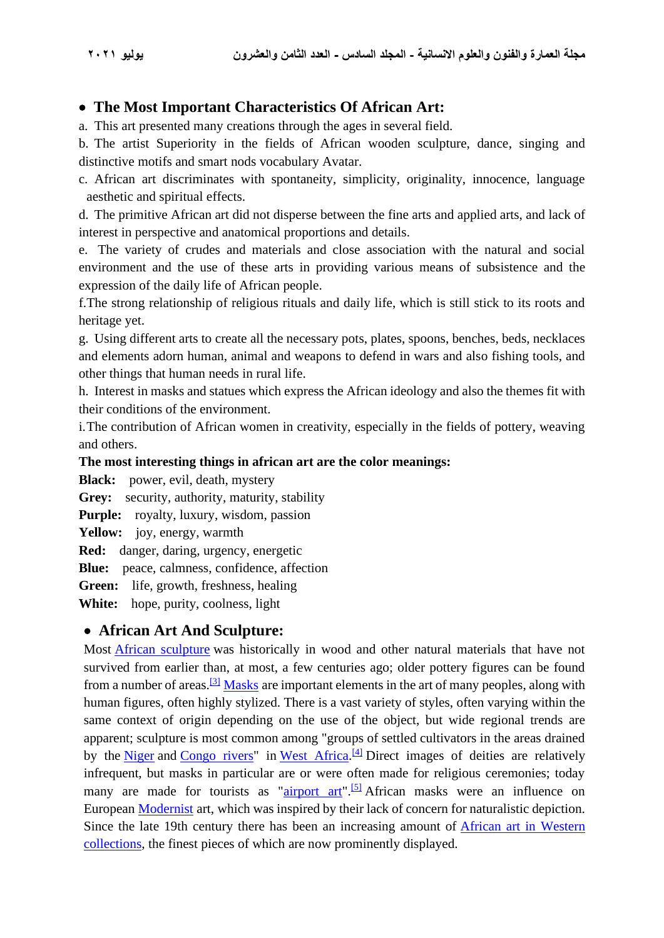## • **The Most Important Characteristics Of African Art:**

a. This art presented many creations through the ages in several field.

b. The artist Superiority in the fields of African wooden sculpture, dance, singing and distinctive motifs and smart nods vocabulary Avatar.

c. African art discriminates with spontaneity, simplicity, originality, innocence, language aesthetic and spiritual effects.

d. The primitive African art did not disperse between the fine arts and applied arts, and lack of interest in perspective and anatomical proportions and details.

e. The variety of crudes and materials and close association with the natural and social environment and the use of these arts in providing various means of subsistence and the expression of the daily life of African people.

f.The strong relationship of religious rituals and daily life, which is still stick to its roots and heritage yet.

g. Using different arts to create all the necessary pots, plates, spoons, benches, beds, necklaces and elements adorn human, animal and weapons to defend in wars and also fishing tools, and other things that human needs in rural life.

h. Interest in masks and statues which express the African ideology and also the themes fit with their conditions of the environment.

i.The contribution of African women in creativity, especially in the fields of pottery, weaving and others.

### **The most interesting things in african art are the color meanings:**

**Black:** power, evil, death, mystery

**Grey:** security, authority, maturity, stability

**Purple:** royalty, luxury, wisdom, passion

**Yellow:** joy, energy, warmth

**Red:** danger, daring, urgency, energetic

**Blue:** peace, calmness, confidence, affection

**Green:** life, growth, freshness, healing

**White:** hope, purity, coolness, light

## • **African Art And Sculpture:**

Most [African sculpture](https://en.wikipedia.org/wiki/African_sculpture) was historically in wood and other natural materials that have not survived from earlier than, at most, a few centuries ago; older pottery figures can be found from a number of areas.<sup>[\[3\]](https://en.wikipedia.org/wiki/African_art#cite_note-3)</sup> [Masks](https://en.wikipedia.org/wiki/Traditional_African_masks) are important elements in the art of many peoples, along with human figures, often highly stylized. There is a vast variety of styles, often varying within the same context of origin depending on the use of the object, but wide regional trends are apparent; sculpture is most common among "groups of settled cultivators in the areas drained by the [Niger](https://en.wikipedia.org/wiki/Niger) and [Congo rivers"](https://en.wikipedia.org/wiki/Congo_river) in [West Africa.](https://en.wikipedia.org/wiki/West_Africa)<sup>[\[4\]](https://en.wikipedia.org/wiki/African_art#cite_note-Honour_.26_Fleming.2C_557-4)</sup> Direct images of deities are relatively infrequent, but masks in particular are or were often made for religious ceremonies; today many are made for tourists as ["airport art"](https://en.wikipedia.org/w/index.php?title=Airport_art&action=edit&redlink=1).<sup>[\[5\]](https://en.wikipedia.org/wiki/African_art#cite_note-5)</sup> African masks were an influence on European **[Modernist](https://en.wikipedia.org/wiki/Modernism)** art, which was inspired by their lack of concern for naturalistic depiction. Since the late 19th century there has been an increasing amount of [African art in Western](https://en.wikipedia.org/wiki/African_art_in_Western_collections)  [collections,](https://en.wikipedia.org/wiki/African_art_in_Western_collections) the finest pieces of which are now prominently displayed.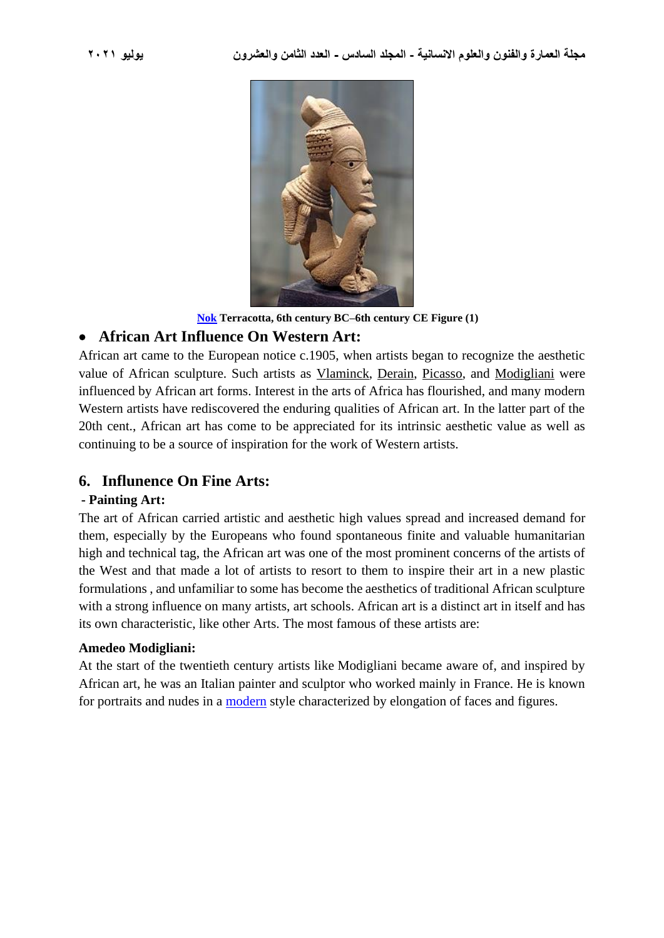

**[Nok](https://en.wikipedia.org/wiki/Nok_Culture) Terracotta, 6th century BC–6th century CE Figure (1)**

## • **African Art Influence On Western Art:**

African art came to the European notice c.1905, when artists began to recognize the aesthetic value of African sculpture. Such artists as [Vlaminck,](http://www.infoplease.com/encyclopedia/people/vlaminck-maurice-de.html) [Derain,](http://www.infoplease.com/encyclopedia/people/derain-andre.html) [Picasso,](http://www.infoplease.com/encyclopedia/people/picasso-pablo.html) and [Modigliani](http://www.infoplease.com/encyclopedia/people/modigliani-amedeo.html) were influenced by African art forms. Interest in the arts of Africa has flourished, and many modern Western artists have rediscovered the enduring qualities of African art. In the latter part of the 20th cent., African art has come to be appreciated for its intrinsic aesthetic value as well as continuing to be a source of inspiration for the work of Western artists.

## **6. Influnence On Fine Arts:**

#### **- Painting Art :**

The art of African carried artistic and aesthetic high values spread and increased demand for them, especially by the Europeans who found spontaneous finite and valuable humanitarian high and technical tag, the African art was one of the most prominent concerns of the artists of the West and that made a lot of artists to resort to them to inspire their art in a new plastic formulations , and unfamiliar to some has become the aesthetics of traditional African sculpture with a strong influence on many artists, art schools. African art is a distinct art in itself and has its own characteristic, like other Arts. The most famous of these artists are:

#### **Amedeo Modigliani:**

At the start of the twentieth century artists like Modigliani became aware of, and inspired by African art, he was an Italian painter and sculptor who worked mainly in France. He is known for portraits and nudes in a [modern](https://en.wikipedia.org/wiki/Modern_art) style characterized by elongation of faces and figures.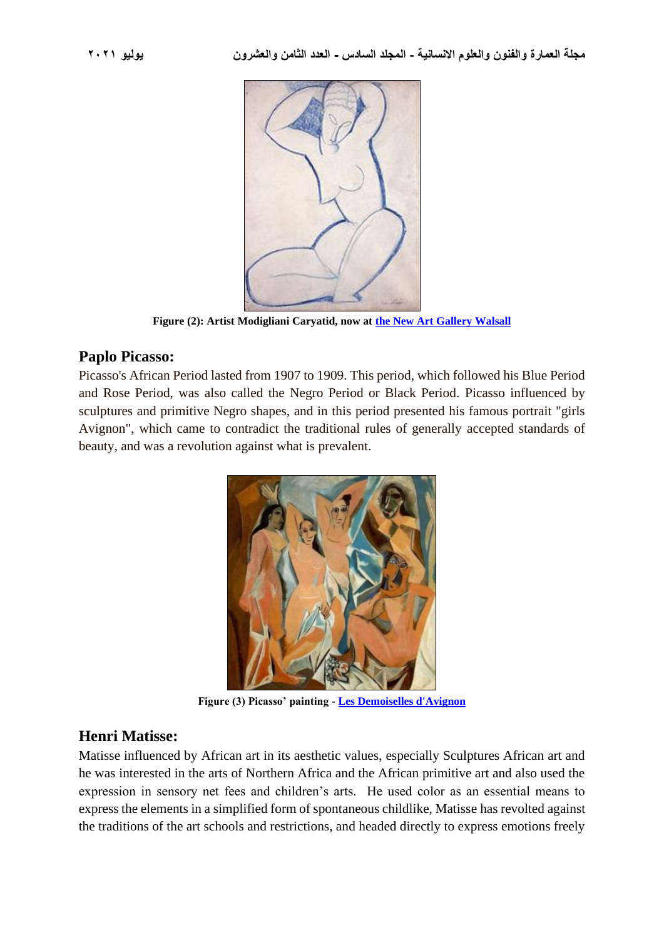

**Figure (2): Artist Modigliani Caryatid, now at [the New Art Gallery Walsall](https://en.wikipedia.org/wiki/The_New_Art_Gallery_Walsall)**

## Paplo Picasso:

Picasso's African Period lasted from 1907 to 1909. This period, which followed his Blue Period and Rose Period, was also called the Negro Period or Black Period. Picasso influenced by sculptures and primitive Negro shapes, and in this period presented his famous portrait "girls Avignon", which came to contradict the traditional rules of generally accepted standards of beauty, and was a revolution against what is prevalent.



**Figure (3) Picasso' painting - [Les Demoiselles d'Avignon](https://en.wikipedia.org/wiki/Les_Demoiselles_d%27Avignon)**

## **Henri Matisse:**

Matisse influenced by African art in its aesthetic values, especially Sculptures African art and he was interested in the arts of Northern Africa and the African primitive art and also used the expression in sensory net fees and children's arts. He used color as an essential means to express the elements in a simplified form of spontaneous childlike, Matisse has revolted against the traditions of the art schools and restrictions, and headed directly to express emotions freely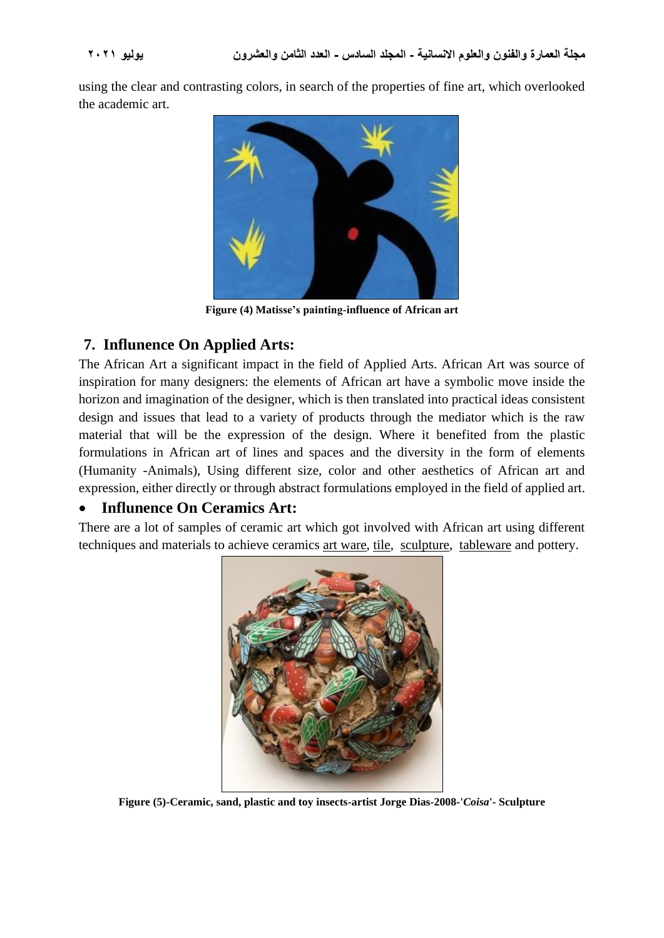using the clear and contrasting colors, in search of the properties of fine art, which overlooked the academic art.



**Figure (4) Matisse's painting-influence of African art**

## **7. Influnence On Applied Arts:**

The African Art a significant impact in the field of Applied Arts. African Art was source of inspiration for many designers: the elements of African art have a symbolic move inside the horizon and imagination of the designer, which is then translated into practical ideas consistent design and issues that lead to a variety of products through the mediator which is the raw material that will be the expression of the design. Where it benefited from the plastic formulations in African art of lines and spaces and the diversity in the form of elements (Humanity -Animals), Using different size, color and other aesthetics of African art and expression, either directly or through abstract formulations employed in the field of applied art.

## • **Influnence On Ceramics Art:**

There are a lot of samples of ceramic art which got involved with African art using different techniques and materials to achieve ceramics [art ware,](https://en.wikipedia.org/wiki/Art_ware) [tile,](https://en.wikipedia.org/wiki/Tile) [sculpture,](https://en.wikipedia.org/wiki/Sculpture) [tableware](https://en.wikipedia.org/wiki/Tableware) and pottery.



**Figure (5)-Ceramic, sand, plastic and toy insects-artist Jorge Dias-2008-'***Coisa***'- Sculpture**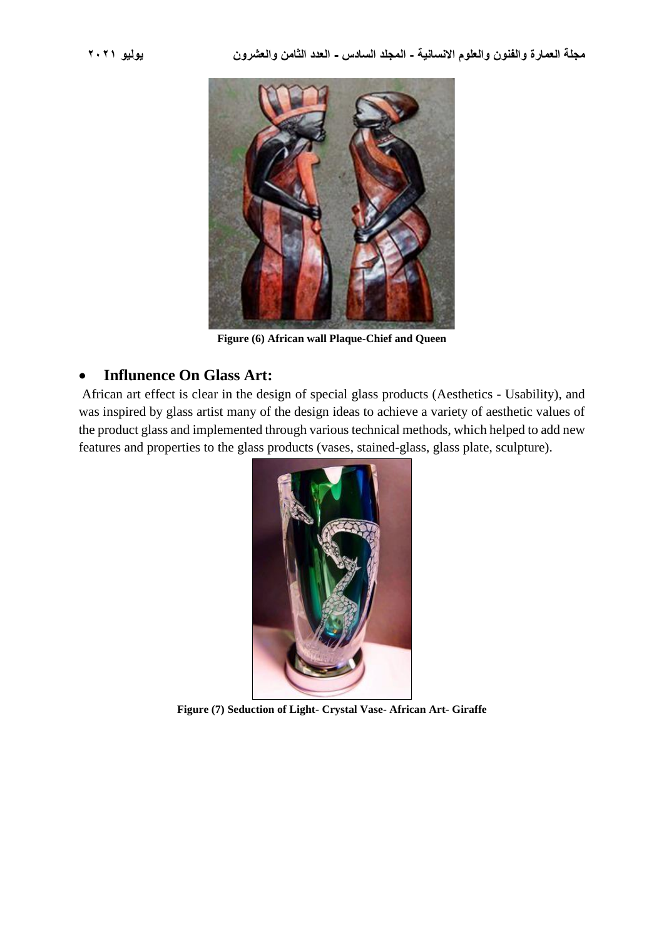

**Figure (6) African wall Plaque-Chief and Queen**

## • **Influnence On Glass Art:**

African art effect is clear in the design of special glass products (Aesthetics - Usability), and was inspired by glass artist many of the design ideas to achieve a variety of aesthetic values of the product glass and implemented through various technical methods, which helped to add new features and properties to the glass products (vases, stained-glass, glass plate, sculpture).



**Figure (7) Seduction of Light- Crystal Vase- African Art- Giraffe**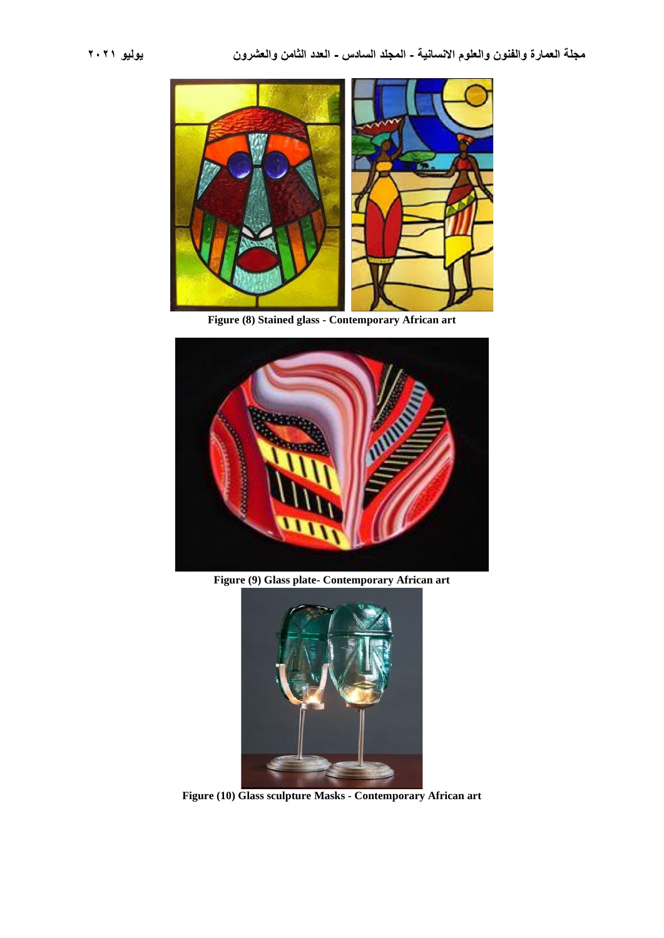

**Figure (8) Stained glass - Contemporary African art**



**Figure (9) Glass plate- Contemporary African art**



**Figure (10) Glass sculpture Masks - Contemporary African art**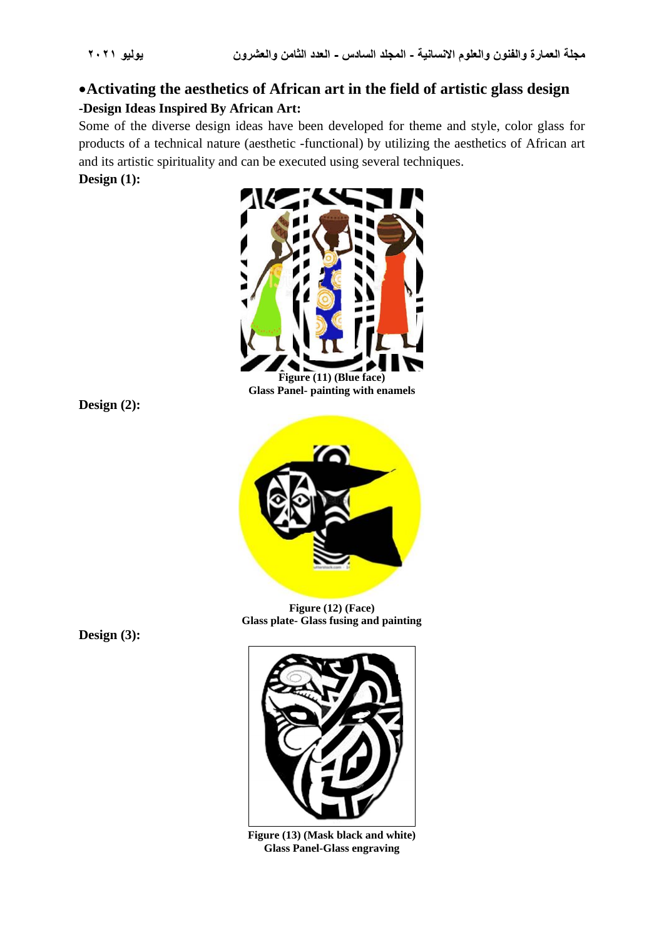## •**Activating the aesthetics of African art in the field of artistic glass design -Design Ideas Inspired By African Art:**

Some of the diverse design ideas have been developed for theme and style, color glass for products of a technical nature (aesthetic -functional) by utilizing the aesthetics of African art and its artistic spirituality and can be executed using several techniques. **Design (1):**



**Figure (11) (Blue face) Glass Panel- painting with enamels**

**Design (2):**



**Figure (12) (Face) Glass plate- Glass fusing and painting**



**Figure (13) (Mask black and white) Glass Panel-Glass engraving**

**Design (3):**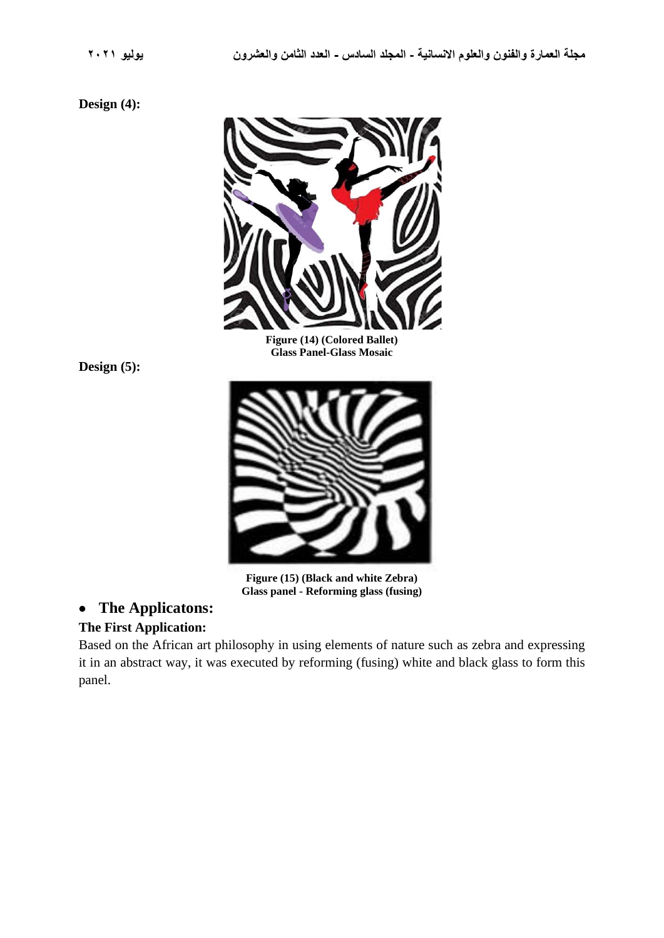### **Design (4):**



**Figure (14) (Colored Ballet) Glass Panel-Glass Mosaic**



**Figure (15) (Black and white Zebra) Glass panel - Reforming glass (fusing)**

## • **The Applicatons:**

## **The First Application:**

Based on the African art philosophy in using elements of nature such as zebra and expressing it in an abstract way, it was executed by reforming (fusing) white and black glass to form this panel.

**Design (5):**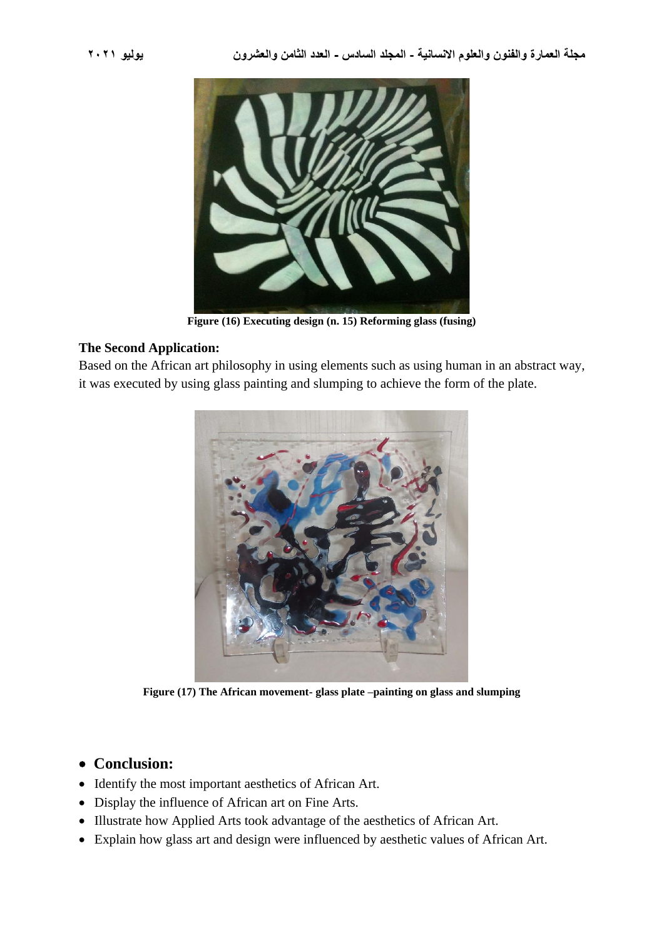

**Figure (16) Executing design (n. 15) Reforming glass (fusing)**

#### **The Second Application:**

Based on the African art philosophy in using elements such as using human in an abstract way, it was executed by using glass painting and slumping to achieve the form of the plate.



**Figure (17) The African movement- glass plate –painting on glass and slumping**

## • **Conclusion:**

- Identify the most important aesthetics of African Art.
- Display the influence of African art on Fine Arts.
- Illustrate how Applied Arts took advantage of the aesthetics of African Art.
- Explain how glass art and design were influenced by aesthetic values of African Art.